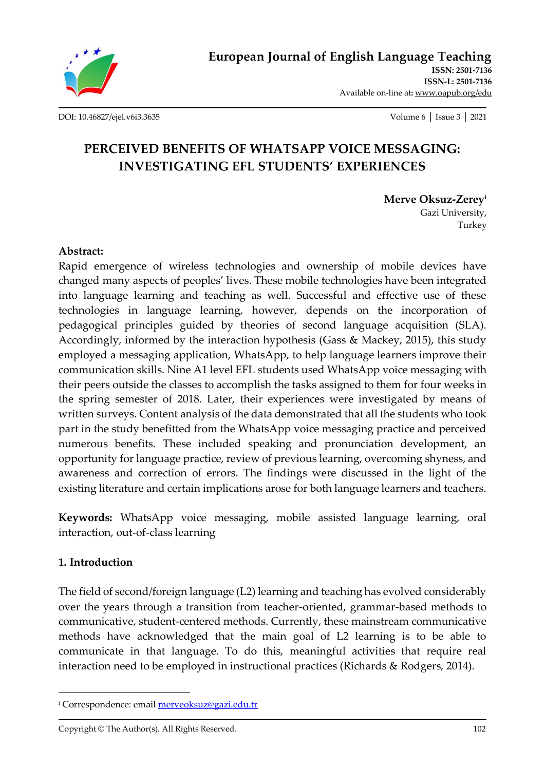

[DOI: 10.46827/ejel.v6i3.3635](http://dx.doi.org/10.46827/ejel.v6i3.3635) Volume 6 │ Issue 3 │ 2021

# **PERCEIVED BENEFITS OF WHATSAPP VOICE MESSAGING: INVESTIGATING EFL STUDENTS' EXPERIENCES**

**Merve Oksuz-Zerey<sup>i</sup>**

Gazi University, Turkey

# **Abstract:**

Rapid emergence of wireless technologies and ownership of mobile devices have changed many aspects of peoples' lives. These mobile technologies have been integrated into language learning and teaching as well. Successful and effective use of these technologies in language learning, however, depends on the incorporation of pedagogical principles guided by theories of second language acquisition (SLA). Accordingly, informed by the interaction hypothesis (Gass & Mackey, 2015), this study employed a messaging application, WhatsApp, to help language learners improve their communication skills. Nine A1 level EFL students used WhatsApp voice messaging with their peers outside the classes to accomplish the tasks assigned to them for four weeks in the spring semester of 2018. Later, their experiences were investigated by means of written surveys. Content analysis of the data demonstrated that all the students who took part in the study benefitted from the WhatsApp voice messaging practice and perceived numerous benefits. These included speaking and pronunciation development, an opportunity for language practice, review of previous learning, overcoming shyness, and awareness and correction of errors. The findings were discussed in the light of the existing literature and certain implications arose for both language learners and teachers.

**Keywords:** WhatsApp voice messaging, mobile assisted language learning, oral interaction, out-of-class learning

# **1. Introduction**

The field of second/foreign language (L2) learning and teaching has evolved considerably over the years through a transition from teacher-oriented, grammar-based methods to communicative, student-centered methods. Currently, these mainstream communicative methods have acknowledged that the main goal of L2 learning is to be able to communicate in that language. To do this, meaningful activities that require real interaction need to be employed in instructional practices (Richards & Rodgers, 2014).

<sup>&</sup>lt;sup>i</sup> Correspondence: email **merveoksuz@gazi.edu.tr**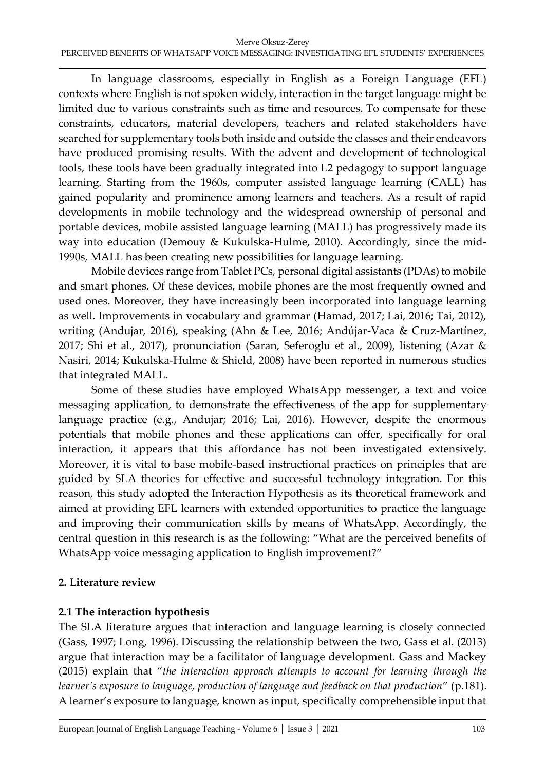In language classrooms, especially in English as a Foreign Language (EFL) contexts where English is not spoken widely, interaction in the target language might be limited due to various constraints such as time and resources. To compensate for these constraints, educators, material developers, teachers and related stakeholders have searched for supplementary tools both inside and outside the classes and their endeavors have produced promising results. With the advent and development of technological tools, these tools have been gradually integrated into L2 pedagogy to support language learning. Starting from the 1960s, computer assisted language learning (CALL) has gained popularity and prominence among learners and teachers. As a result of rapid developments in mobile technology and the widespread ownership of personal and portable devices, mobile assisted language learning (MALL) has progressively made its way into education (Demouy & Kukulska-Hulme, 2010). Accordingly, since the mid-1990s, MALL has been creating new possibilities for language learning.

Mobile devices range from Tablet PCs, personal digital assistants (PDAs) to mobile and smart phones. Of these devices, mobile phones are the most frequently owned and used ones. Moreover, they have increasingly been incorporated into language learning as well. Improvements in vocabulary and grammar (Hamad, 2017; Lai, 2016; Tai, 2012), writing (Andujar, 2016), speaking (Ahn & Lee, 2016; Andújar-Vaca & Cruz-Martínez, 2017; Shi et al., 2017), pronunciation (Saran, Seferoglu et al., 2009), listening (Azar & Nasiri, 2014; Kukulska-Hulme & Shield, 2008) have been reported in numerous studies that integrated MALL.

Some of these studies have employed WhatsApp messenger, a text and voice messaging application, to demonstrate the effectiveness of the app for supplementary language practice (e.g., Andujar; 2016; Lai, 2016). However, despite the enormous potentials that mobile phones and these applications can offer, specifically for oral interaction, it appears that this affordance has not been investigated extensively. Moreover, it is vital to base mobile-based instructional practices on principles that are guided by SLA theories for effective and successful technology integration. For this reason, this study adopted the Interaction Hypothesis as its theoretical framework and aimed at providing EFL learners with extended opportunities to practice the language and improving their communication skills by means of WhatsApp. Accordingly, the central question in this research is as the following: "What are the perceived benefits of WhatsApp voice messaging application to English improvement?"

# **2. Literature review**

# **2.1 The interaction hypothesis**

The SLA literature argues that interaction and language learning is closely connected (Gass, 1997; Long, 1996). Discussing the relationship between the two, Gass et al. (2013) argue that interaction may be a facilitator of language development. Gass and Mackey (2015) explain that "*the interaction approach attempts to account for learning through the learner's exposure to language, production of language and feedback on that production*" (p.181). A learner's exposure to language, known as input, specifically comprehensible input that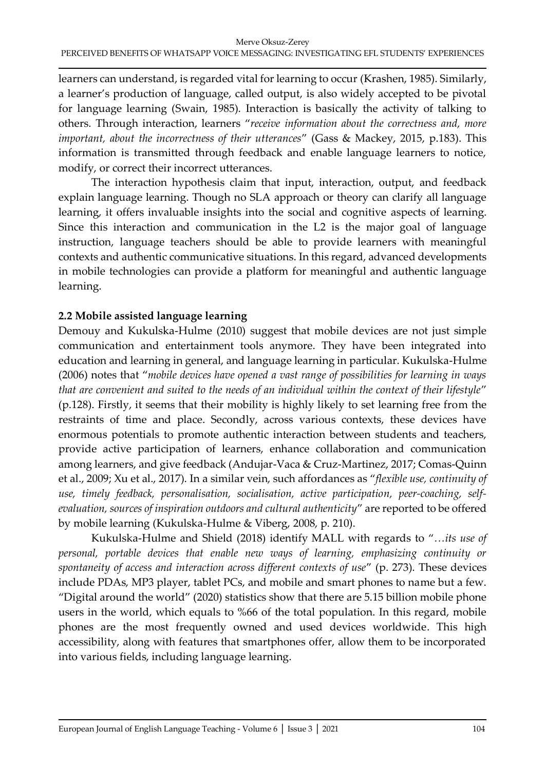learners can understand, is regarded vital for learning to occur (Krashen, 1985). Similarly, a learner's production of language, called output, is also widely accepted to be pivotal for language learning (Swain, 1985). Interaction is basically the activity of talking to others. Through interaction, learners "*receive information about the correctness and, more important, about the incorrectness of their utterances*" (Gass & Mackey, 2015, p.183). This information is transmitted through feedback and enable language learners to notice, modify, or correct their incorrect utterances.

The interaction hypothesis claim that input, interaction, output, and feedback explain language learning. Though no SLA approach or theory can clarify all language learning, it offers invaluable insights into the social and cognitive aspects of learning. Since this interaction and communication in the L2 is the major goal of language instruction, language teachers should be able to provide learners with meaningful contexts and authentic communicative situations. In this regard, advanced developments in mobile technologies can provide a platform for meaningful and authentic language learning.

# **2.2 Mobile assisted language learning**

Demouy and Kukulska-Hulme (2010) suggest that mobile devices are not just simple communication and entertainment tools anymore. They have been integrated into education and learning in general, and language learning in particular. Kukulska-Hulme (2006) notes that "*mobile devices have opened a vast range of possibilities for learning in ways that are convenient and suited to the needs of an individual within the context of their lifestyle*" (p.128). Firstly, it seems that their mobility is highly likely to set learning free from the restraints of time and place. Secondly, across various contexts, these devices have enormous potentials to promote authentic interaction between students and teachers, provide active participation of learners, enhance collaboration and communication among learners, and give feedback (Andujar-Vaca & Cruz-Martinez, 2017; Comas-Quinn et al., 2009; Xu et al., 2017). In a similar vein, such affordances as "*flexible use, continuity of use, timely feedback, personalisation, socialisation, active participation, peer-coaching, selfevaluation, sources of inspiration outdoors and cultural authenticity*" are reported to be offered by mobile learning (Kukulska-Hulme & Viberg, 2008, p. 210).

Kukulska-Hulme and Shield (2018) identify MALL with regards to "*…its use of personal, portable devices that enable new ways of learning, emphasizing continuity or spontaneity of access and interaction across different contexts of use*" (p. 273). These devices include PDAs, MP3 player, tablet PCs, and mobile and smart phones to name but a few. "Digital around the world" (2020) statistics show that there are 5.15 billion mobile phone users in the world, which equals to %66 of the total population. In this regard, mobile phones are the most frequently owned and used devices worldwide. This high accessibility, along with features that smartphones offer, allow them to be incorporated into various fields, including language learning.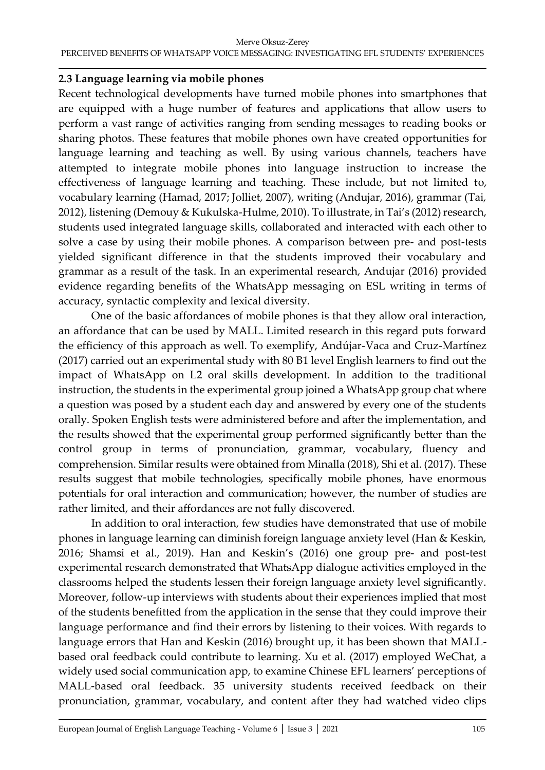#### Merve Oksuz-Zerey PERCEIVED BENEFITS OF WHATSAPP VOICE MESSAGING: INVESTIGATING EFL STUDENTS' EXPERIENCES

# **2.3 Language learning via mobile phones**

Recent technological developments have turned mobile phones into smartphones that are equipped with a huge number of features and applications that allow users to perform a vast range of activities ranging from sending messages to reading books or sharing photos. These features that mobile phones own have created opportunities for language learning and teaching as well. By using various channels, teachers have attempted to integrate mobile phones into language instruction to increase the effectiveness of language learning and teaching. These include, but not limited to, vocabulary learning (Hamad, 2017; Jolliet, 2007), writing (Andujar, 2016), grammar (Tai, 2012), listening (Demouy & Kukulska-Hulme, 2010). To illustrate, in Tai's (2012) research, students used integrated language skills, collaborated and interacted with each other to solve a case by using their mobile phones. A comparison between pre- and post-tests yielded significant difference in that the students improved their vocabulary and grammar as a result of the task. In an experimental research, Andujar (2016) provided evidence regarding benefits of the WhatsApp messaging on ESL writing in terms of accuracy, syntactic complexity and lexical diversity.

One of the basic affordances of mobile phones is that they allow oral interaction, an affordance that can be used by MALL. Limited research in this regard puts forward the efficiency of this approach as well. To exemplify, Andújar-Vaca and Cruz-Martínez (2017) carried out an experimental study with 80 B1 level English learners to find out the impact of WhatsApp on L2 oral skills development. In addition to the traditional instruction, the students in the experimental group joined a WhatsApp group chat where a question was posed by a student each day and answered by every one of the students orally. Spoken English tests were administered before and after the implementation, and the results showed that the experimental group performed significantly better than the control group in terms of pronunciation, grammar, vocabulary, fluency and comprehension. Similar results were obtained from Minalla (2018), Shi et al. (2017). These results suggest that mobile technologies, specifically mobile phones, have enormous potentials for oral interaction and communication; however, the number of studies are rather limited, and their affordances are not fully discovered.

In addition to oral interaction, few studies have demonstrated that use of mobile phones in language learning can diminish foreign language anxiety level (Han & Keskin, 2016; Shamsi et al., 2019). Han and Keskin's (2016) one group pre- and post-test experimental research demonstrated that WhatsApp dialogue activities employed in the classrooms helped the students lessen their foreign language anxiety level significantly. Moreover, follow-up interviews with students about their experiences implied that most of the students benefitted from the application in the sense that they could improve their language performance and find their errors by listening to their voices. With regards to language errors that Han and Keskin (2016) brought up, it has been shown that MALLbased oral feedback could contribute to learning. Xu et al. (2017) employed WeChat, a widely used social communication app, to examine Chinese EFL learners' perceptions of MALL-based oral feedback. 35 university students received feedback on their pronunciation, grammar, vocabulary, and content after they had watched video clips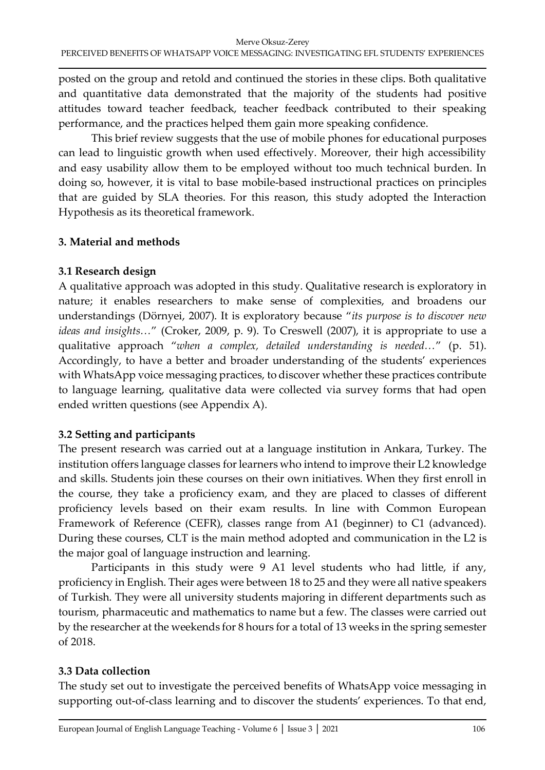posted on the group and retold and continued the stories in these clips. Both qualitative and quantitative data demonstrated that the majority of the students had positive attitudes toward teacher feedback, teacher feedback contributed to their speaking performance, and the practices helped them gain more speaking confidence.

This brief review suggests that the use of mobile phones for educational purposes can lead to linguistic growth when used effectively. Moreover, their high accessibility and easy usability allow them to be employed without too much technical burden. In doing so, however, it is vital to base mobile-based instructional practices on principles that are guided by SLA theories. For this reason, this study adopted the Interaction Hypothesis as its theoretical framework.

# **3. Material and methods**

# **3.1 Research design**

A qualitative approach was adopted in this study. Qualitative research is exploratory in nature; it enables researchers to make sense of complexities, and broadens our understandings (Dörnyei, 2007). It is exploratory because "*its purpose is to discover new ideas and insights…*" (Croker, 2009, p. 9). To Creswell (2007), it is appropriate to use a qualitative approach "*when a complex, detailed understanding is needed…*" (p. 51). Accordingly, to have a better and broader understanding of the students' experiences with WhatsApp voice messaging practices, to discover whether these practices contribute to language learning, qualitative data were collected via survey forms that had open ended written questions (see Appendix A).

# **3.2 Setting and participants**

The present research was carried out at a language institution in Ankara, Turkey. The institution offers language classes for learners who intend to improve their L2 knowledge and skills. Students join these courses on their own initiatives. When they first enroll in the course, they take a proficiency exam, and they are placed to classes of different proficiency levels based on their exam results. In line with Common European Framework of Reference (CEFR), classes range from A1 (beginner) to C1 (advanced). During these courses, CLT is the main method adopted and communication in the L2 is the major goal of language instruction and learning.

Participants in this study were 9 A1 level students who had little, if any, proficiency in English. Their ages were between 18 to 25 and they were all native speakers of Turkish. They were all university students majoring in different departments such as tourism, pharmaceutic and mathematics to name but a few. The classes were carried out by the researcher at the weekends for 8 hours for a total of 13 weeks in the spring semester of 2018.

# **3.3 Data collection**

The study set out to investigate the perceived benefits of WhatsApp voice messaging in supporting out-of-class learning and to discover the students' experiences. To that end,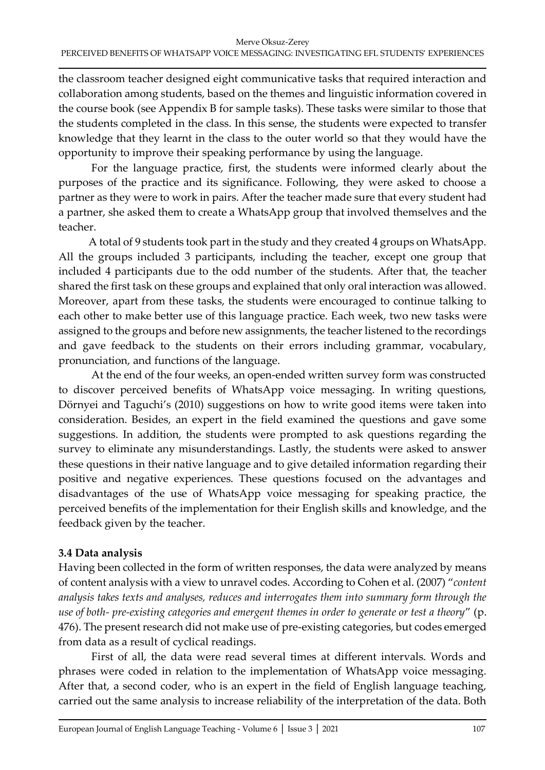the classroom teacher designed eight communicative tasks that required interaction and collaboration among students, based on the themes and linguistic information covered in the course book (see Appendix B for sample tasks). These tasks were similar to those that the students completed in the class. In this sense, the students were expected to transfer knowledge that they learnt in the class to the outer world so that they would have the opportunity to improve their speaking performance by using the language.

For the language practice, first, the students were informed clearly about the purposes of the practice and its significance. Following, they were asked to choose a partner as they were to work in pairs. After the teacher made sure that every student had a partner, she asked them to create a WhatsApp group that involved themselves and the teacher.

A total of 9 students took part in the study and they created 4 groups on WhatsApp. All the groups included 3 participants, including the teacher, except one group that included 4 participants due to the odd number of the students. After that, the teacher shared the first task on these groups and explained that only oral interaction was allowed. Moreover, apart from these tasks, the students were encouraged to continue talking to each other to make better use of this language practice. Each week, two new tasks were assigned to the groups and before new assignments, the teacher listened to the recordings and gave feedback to the students on their errors including grammar, vocabulary, pronunciation, and functions of the language.

At the end of the four weeks, an open-ended written survey form was constructed to discover perceived benefits of WhatsApp voice messaging. In writing questions, Dörnyei and Taguchi's (2010) suggestions on how to write good items were taken into consideration. Besides, an expert in the field examined the questions and gave some suggestions. In addition, the students were prompted to ask questions regarding the survey to eliminate any misunderstandings. Lastly, the students were asked to answer these questions in their native language and to give detailed information regarding their positive and negative experiences. These questions focused on the advantages and disadvantages of the use of WhatsApp voice messaging for speaking practice, the perceived benefits of the implementation for their English skills and knowledge, and the feedback given by the teacher.

# **3.4 Data analysis**

Having been collected in the form of written responses, the data were analyzed by means of content analysis with a view to unravel codes. According to Cohen et al. (2007) "*content analysis takes texts and analyses, reduces and interrogates them into summary form through the use of both- pre-existing categories and emergent themes in order to generate or test a theory*" (p. 476). The present research did not make use of pre-existing categories, but codes emerged from data as a result of cyclical readings.

First of all, the data were read several times at different intervals. Words and phrases were coded in relation to the implementation of WhatsApp voice messaging. After that, a second coder, who is an expert in the field of English language teaching, carried out the same analysis to increase reliability of the interpretation of the data. Both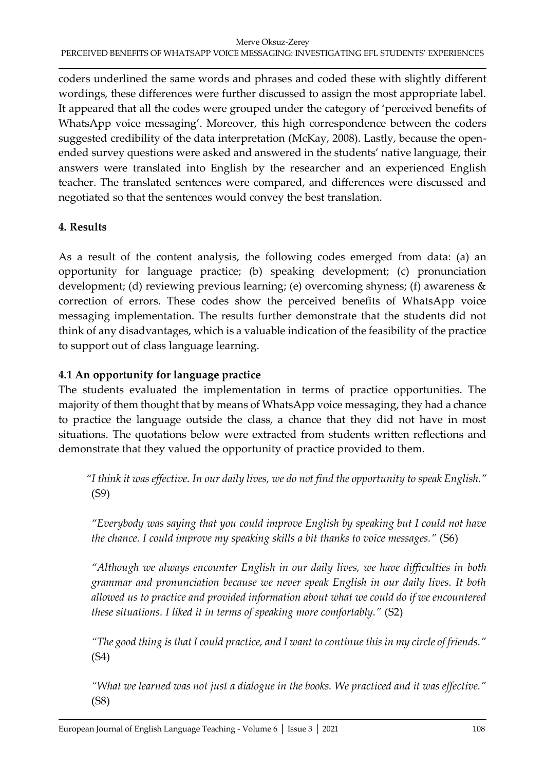coders underlined the same words and phrases and coded these with slightly different wordings, these differences were further discussed to assign the most appropriate label. It appeared that all the codes were grouped under the category of 'perceived benefits of WhatsApp voice messaging'. Moreover, this high correspondence between the coders suggested credibility of the data interpretation (McKay, 2008). Lastly, because the openended survey questions were asked and answered in the students' native language, their answers were translated into English by the researcher and an experienced English teacher. The translated sentences were compared, and differences were discussed and negotiated so that the sentences would convey the best translation.

# **4. Results**

As a result of the content analysis, the following codes emerged from data: (a) an opportunity for language practice; (b) speaking development; (c) pronunciation development; (d) reviewing previous learning; (e) overcoming shyness; (f) awareness & correction of errors. These codes show the perceived benefits of WhatsApp voice messaging implementation. The results further demonstrate that the students did not think of any disadvantages, which is a valuable indication of the feasibility of the practice to support out of class language learning.

# **4.1 An opportunity for language practice**

The students evaluated the implementation in terms of practice opportunities. The majority of them thought that by means of WhatsApp voice messaging, they had a chance to practice the language outside the class, a chance that they did not have in most situations. The quotations below were extracted from students written reflections and demonstrate that they valued the opportunity of practice provided to them.

*"I think it was effective. In our daily lives, we do not find the opportunity to speak English."*  (S9)

*"Everybody was saying that you could improve English by speaking but I could not have the chance. I could improve my speaking skills a bit thanks to voice messages."* (S6)

*"Although we always encounter English in our daily lives, we have difficulties in both grammar and pronunciation because we never speak English in our daily lives. It both allowed us to practice and provided information about what we could do if we encountered these situations. I liked it in terms of speaking more comfortably."* (S2)

*"The good thing is that I could practice, and I want to continue this in my circle of friends."*  (S4)

*"What we learned was not just a dialogue in the books. We practiced and it was effective."*  (S8)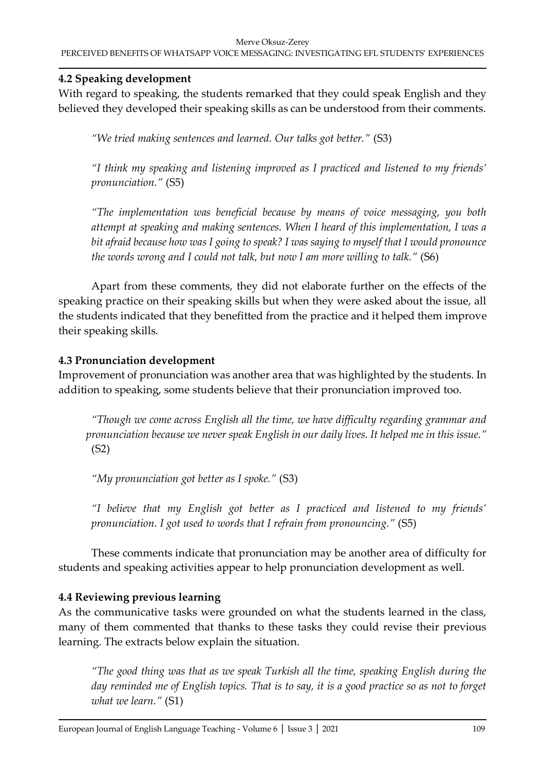#### Merve Oksuz-Zerey PERCEIVED BENEFITS OF WHATSAPP VOICE MESSAGING: INVESTIGATING EFL STUDENTS' EXPERIENCES

# **4.2 Speaking development**

With regard to speaking, the students remarked that they could speak English and they believed they developed their speaking skills as can be understood from their comments.

*"We tried making sentences and learned. Our talks got better."* (S3)

*"I think my speaking and listening improved as I practiced and listened to my friends' pronunciation."* (S5)

*"The implementation was beneficial because by means of voice messaging, you both attempt at speaking and making sentences. When I heard of this implementation, I was a bit afraid because how was I going to speak? I was saying to myself that I would pronounce the words wrong and I could not talk, but now I am more willing to talk."* (S6)

Apart from these comments, they did not elaborate further on the effects of the speaking practice on their speaking skills but when they were asked about the issue, all the students indicated that they benefitted from the practice and it helped them improve their speaking skills.

# **4.3 Pronunciation development**

Improvement of pronunciation was another area that was highlighted by the students. In addition to speaking, some students believe that their pronunciation improved too.

*"Though we come across English all the time, we have difficulty regarding grammar and pronunciation because we never speak English in our daily lives. It helped me in this issue."* (S2)

*"My pronunciation got better as I spoke."* (S3)

*"I believe that my English got better as I practiced and listened to my friends' pronunciation. I got used to words that I refrain from pronouncing."* (S5)

These comments indicate that pronunciation may be another area of difficulty for students and speaking activities appear to help pronunciation development as well.

# **4.4 Reviewing previous learning**

As the communicative tasks were grounded on what the students learned in the class, many of them commented that thanks to these tasks they could revise their previous learning. The extracts below explain the situation.

*"The good thing was that as we speak Turkish all the time, speaking English during the day reminded me of English topics. That is to say, it is a good practice so as not to forget what we learn."* (S1)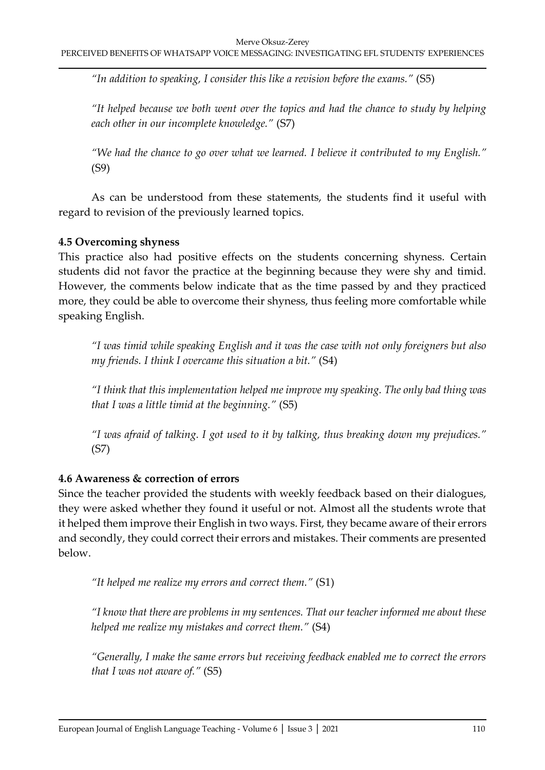*"In addition to speaking, I consider this like a revision before the exams."* (S5)

*"It helped because we both went over the topics and had the chance to study by helping each other in our incomplete knowledge."* (S7)

*"We had the chance to go over what we learned. I believe it contributed to my English."*  (S9)

As can be understood from these statements, the students find it useful with regard to revision of the previously learned topics.

# **4.5 Overcoming shyness**

This practice also had positive effects on the students concerning shyness. Certain students did not favor the practice at the beginning because they were shy and timid. However, the comments below indicate that as the time passed by and they practiced more, they could be able to overcome their shyness, thus feeling more comfortable while speaking English.

*"I was timid while speaking English and it was the case with not only foreigners but also my friends. I think I overcame this situation a bit."* (S4)

*"I think that this implementation helped me improve my speaking. The only bad thing was that I was a little timid at the beginning."* (S5)

*"I was afraid of talking. I got used to it by talking, thus breaking down my prejudices."*  (S7)

# **4.6 Awareness & correction of errors**

Since the teacher provided the students with weekly feedback based on their dialogues, they were asked whether they found it useful or not. Almost all the students wrote that it helped them improve their English in two ways. First, they became aware of their errors and secondly, they could correct their errors and mistakes. Their comments are presented below.

*"It helped me realize my errors and correct them."* (S1)

*"I know that there are problems in my sentences. That our teacher informed me about these helped me realize my mistakes and correct them."* (S4)

*"Generally, I make the same errors but receiving feedback enabled me to correct the errors that I was not aware of."* (S5)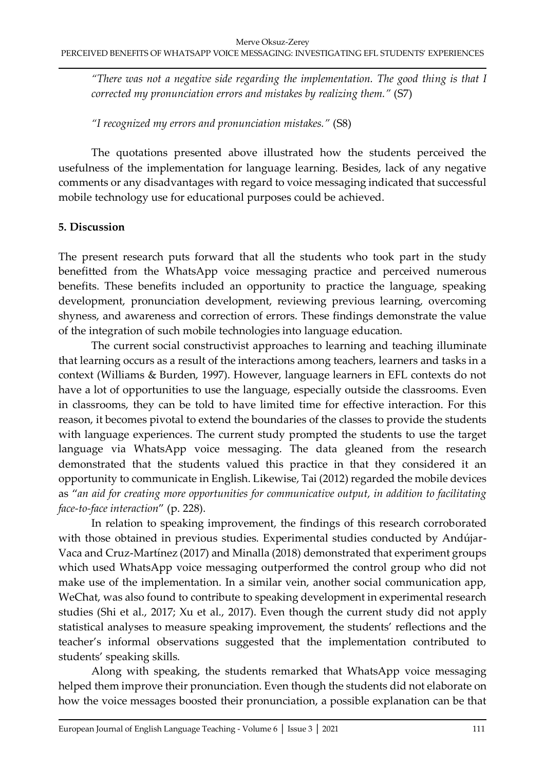*"There was not a negative side regarding the implementation. The good thing is that I corrected my pronunciation errors and mistakes by realizing them."* (S7)

*"I recognized my errors and pronunciation mistakes."* (S8)

The quotations presented above illustrated how the students perceived the usefulness of the implementation for language learning. Besides, lack of any negative comments or any disadvantages with regard to voice messaging indicated that successful mobile technology use for educational purposes could be achieved.

# **5. Discussion**

The present research puts forward that all the students who took part in the study benefitted from the WhatsApp voice messaging practice and perceived numerous benefits. These benefits included an opportunity to practice the language, speaking development, pronunciation development, reviewing previous learning, overcoming shyness, and awareness and correction of errors. These findings demonstrate the value of the integration of such mobile technologies into language education.

The current social constructivist approaches to learning and teaching illuminate that learning occurs as a result of the interactions among teachers, learners and tasks in a context (Williams & Burden, 1997). However, language learners in EFL contexts do not have a lot of opportunities to use the language, especially outside the classrooms. Even in classrooms, they can be told to have limited time for effective interaction. For this reason, it becomes pivotal to extend the boundaries of the classes to provide the students with language experiences. The current study prompted the students to use the target language via WhatsApp voice messaging. The data gleaned from the research demonstrated that the students valued this practice in that they considered it an opportunity to communicate in English. Likewise, Tai (2012) regarded the mobile devices as "*an aid for creating more opportunities for communicative output, in addition to facilitating face-to-face interaction*" (p. 228).

In relation to speaking improvement, the findings of this research corroborated with those obtained in previous studies. Experimental studies conducted by Andújar-Vaca and Cruz-Martínez (2017) and Minalla (2018) demonstrated that experiment groups which used WhatsApp voice messaging outperformed the control group who did not make use of the implementation. In a similar vein, another social communication app, WeChat, was also found to contribute to speaking development in experimental research studies (Shi et al., 2017; Xu et al., 2017). Even though the current study did not apply statistical analyses to measure speaking improvement, the students' reflections and the teacher's informal observations suggested that the implementation contributed to students' speaking skills.

Along with speaking, the students remarked that WhatsApp voice messaging helped them improve their pronunciation. Even though the students did not elaborate on how the voice messages boosted their pronunciation, a possible explanation can be that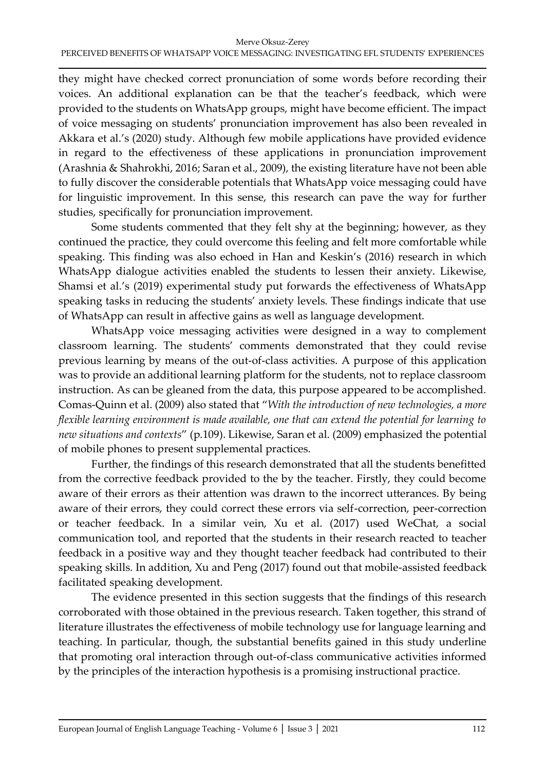they might have checked correct pronunciation of some words before recording their voices. An additional explanation can be that the teacher's feedback, which were provided to the students on WhatsApp groups, might have become efficient. The impact of voice messaging on students' pronunciation improvement has also been revealed in Akkara et al.'s (2020) study. Although few mobile applications have provided evidence in regard to the effectiveness of these applications in pronunciation improvement (Arashnia & Shahrokhi, 2016; Saran et al., 2009), the existing literature have not been able to fully discover the considerable potentials that WhatsApp voice messaging could have for linguistic improvement. In this sense, this research can pave the way for further studies, specifically for pronunciation improvement.

Some students commented that they felt shy at the beginning; however, as they continued the practice, they could overcome this feeling and felt more comfortable while speaking. This finding was also echoed in Han and Keskin's (2016) research in which WhatsApp dialogue activities enabled the students to lessen their anxiety. Likewise, Shamsi et al.'s (2019) experimental study put forwards the effectiveness of WhatsApp speaking tasks in reducing the students' anxiety levels. These findings indicate that use of WhatsApp can result in affective gains as well as language development.

WhatsApp voice messaging activities were designed in a way to complement classroom learning. The students' comments demonstrated that they could revise previous learning by means of the out-of-class activities. A purpose of this application was to provide an additional learning platform for the students, not to replace classroom instruction. As can be gleaned from the data, this purpose appeared to be accomplished. Comas-Quinn et al. (2009) also stated that "*With the introduction of new technologies, a more flexible learning environment is made available, one that can extend the potential for learning to new situations and contexts*" (p.109). Likewise, Saran et al. (2009) emphasized the potential of mobile phones to present supplemental practices.

Further, the findings of this research demonstrated that all the students benefitted from the corrective feedback provided to the by the teacher. Firstly, they could become aware of their errors as their attention was drawn to the incorrect utterances. By being aware of their errors, they could correct these errors via self-correction, peer-correction or teacher feedback. In a similar vein, Xu et al. (2017) used WeChat, a social communication tool, and reported that the students in their research reacted to teacher feedback in a positive way and they thought teacher feedback had contributed to their speaking skills. In addition, Xu and Peng (2017) found out that mobile-assisted feedback facilitated speaking development.

The evidence presented in this section suggests that the findings of this research corroborated with those obtained in the previous research. Taken together, this strand of literature illustrates the effectiveness of mobile technology use for language learning and teaching. In particular, though, the substantial benefits gained in this study underline that promoting oral interaction through out-of-class communicative activities informed by the principles of the interaction hypothesis is a promising instructional practice.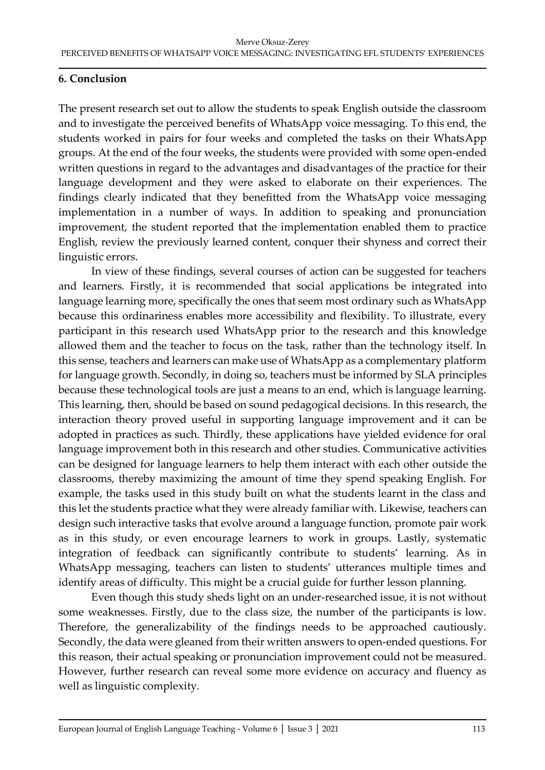# **6. Conclusion**

The present research set out to allow the students to speak English outside the classroom and to investigate the perceived benefits of WhatsApp voice messaging. To this end, the students worked in pairs for four weeks and completed the tasks on their WhatsApp groups. At the end of the four weeks, the students were provided with some open-ended written questions in regard to the advantages and disadvantages of the practice for their language development and they were asked to elaborate on their experiences. The findings clearly indicated that they benefitted from the WhatsApp voice messaging implementation in a number of ways. In addition to speaking and pronunciation improvement, the student reported that the implementation enabled them to practice English, review the previously learned content, conquer their shyness and correct their linguistic errors.

In view of these findings, several courses of action can be suggested for teachers and learners. Firstly, it is recommended that social applications be integrated into language learning more, specifically the ones that seem most ordinary such as WhatsApp because this ordinariness enables more accessibility and flexibility. To illustrate, every participant in this research used WhatsApp prior to the research and this knowledge allowed them and the teacher to focus on the task, rather than the technology itself. In this sense, teachers and learners can make use of WhatsApp as a complementary platform for language growth. Secondly, in doing so, teachers must be informed by SLA principles because these technological tools are just a means to an end, which is language learning. This learning, then, should be based on sound pedagogical decisions. In this research, the interaction theory proved useful in supporting language improvement and it can be adopted in practices as such. Thirdly, these applications have yielded evidence for oral language improvement both in this research and other studies. Communicative activities can be designed for language learners to help them interact with each other outside the classrooms, thereby maximizing the amount of time they spend speaking English. For example, the tasks used in this study built on what the students learnt in the class and this let the students practice what they were already familiar with. Likewise, teachers can design such interactive tasks that evolve around a language function, promote pair work as in this study, or even encourage learners to work in groups. Lastly, systematic integration of feedback can significantly contribute to students' learning. As in WhatsApp messaging, teachers can listen to students' utterances multiple times and identify areas of difficulty. This might be a crucial guide for further lesson planning.

Even though this study sheds light on an under-researched issue, it is not without some weaknesses. Firstly, due to the class size, the number of the participants is low. Therefore, the generalizability of the findings needs to be approached cautiously. Secondly, the data were gleaned from their written answers to open-ended questions. For this reason, their actual speaking or pronunciation improvement could not be measured. However, further research can reveal some more evidence on accuracy and fluency as well as linguistic complexity.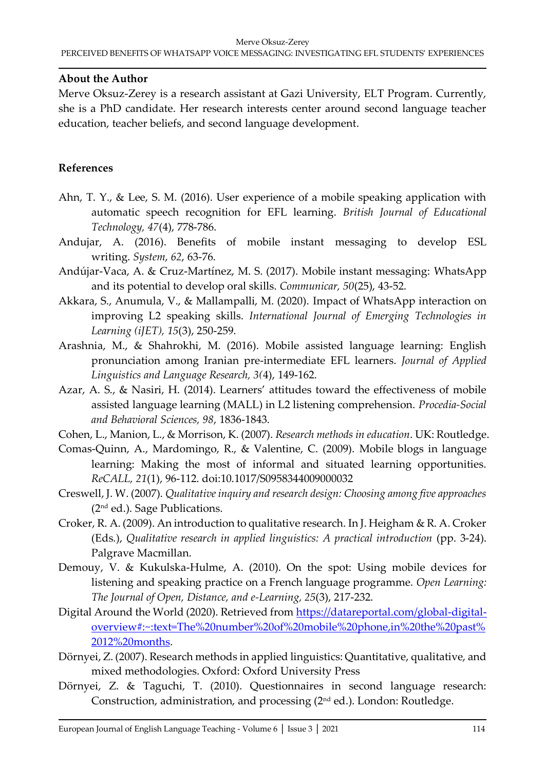#### **About the Author**

Merve Oksuz-Zerey is a research assistant at Gazi University, ELT Program. Currently, she is a PhD candidate. Her research interests center around second language teacher education, teacher beliefs, and second language development.

# **References**

- Ahn, T. Y., & Lee, S. M. (2016). User experience of a mobile speaking application with automatic speech recognition for EFL learning. *British Journal of Educational Technology, 47*(4), 778-786.
- Andujar, A. (2016). Benefits of mobile instant messaging to develop ESL writing. *System*, *62*, 63-76.
- Andújar-Vaca, A. & Cruz-Martínez, M. S. (2017). Mobile instant messaging: WhatsApp and its potential to develop oral skills. *Communicar, 50*(25), 43-52.
- Akkara, S., Anumula, V., & Mallampalli, M. (2020). Impact of WhatsApp interaction on improving L2 speaking skills. *International Journal of Emerging Technologies in Learning (iJET), 15*(3), 250-259.
- Arashnia, M., & Shahrokhi, M. (2016). Mobile assisted language learning: English pronunciation among Iranian pre-intermediate EFL learners. *Journal of Applied Linguistics and Language Research, 3(*4), 149-162.
- Azar, A. S., & Nasiri, H. (2014). Learners' attitudes toward the effectiveness of mobile assisted language learning (MALL) in L2 listening comprehension. *Procedia-Social and Behavioral Sciences, 98*, 1836-1843.
- Cohen, L., Manion, L., & Morrison, K. (2007). *Research methods in education*. UK: Routledge.
- Comas-Quinn, A., Mardomingo, R., & Valentine, C. (2009). Mobile blogs in language learning: Making the most of informal and situated learning opportunities. *ReCALL, 21*(1), 96-112. doi:10.1017/S0958344009000032
- Creswell, J. W. (2007). *Qualitative inquiry and research design: Choosing among five approaches* (2nd ed.). Sage Publications.
- Croker, R. A. (2009). An introduction to qualitative research. In J. Heigham & R. A. Croker (Eds.), *Qualitative research in applied linguistics: A practical introduction* (pp. 3-24). Palgrave Macmillan.
- Demouy, V. & Kukulska-Hulme, A. (2010). On the spot: Using mobile devices for listening and speaking practice on a French language programme. *Open Learning: The Journal of Open, Distance, and e-Learning, 25*(3), 217-232.
- Digital Around the World (2020). Retrieved from [https://datareportal.com/global-digital](https://datareportal.com/global-digital-overview#:~:text=The%20number%20of%20mobile%20phone,in%20the%20past%2012%20months)[overview#:~:text=The%20number%20of%20mobile%20phone,in%20the%20past%](https://datareportal.com/global-digital-overview#:~:text=The%20number%20of%20mobile%20phone,in%20the%20past%2012%20months) [2012%20months.](https://datareportal.com/global-digital-overview#:~:text=The%20number%20of%20mobile%20phone,in%20the%20past%2012%20months)
- Dörnyei, Z. (2007). Research methods in applied linguistics: Quantitative, qualitative, and mixed methodologies. Oxford: Oxford University Press
- Dörnyei, Z. & Taguchi, T. (2010). Questionnaires in second language research: Construction, administration, and processing (2nd ed.). London: Routledge.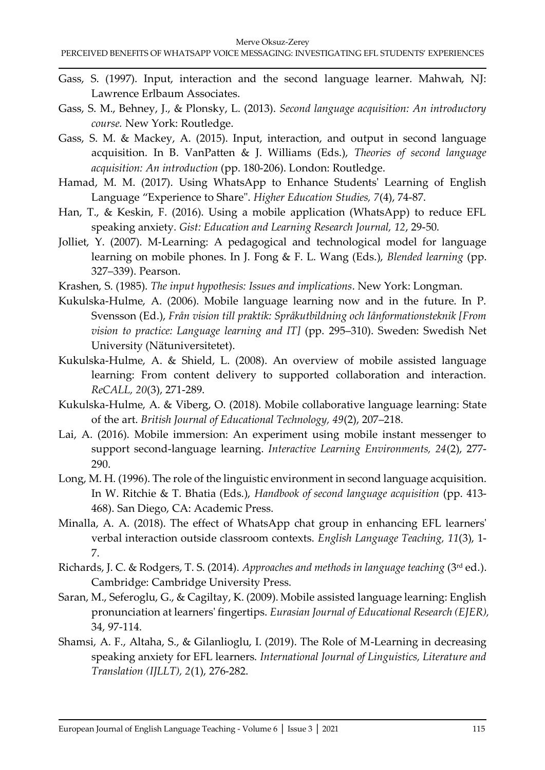- Gass, S. (1997). Input, interaction and the second language learner. Mahwah, NJ: Lawrence Erlbaum Associates.
- Gass, S. M., Behney, J., & Plonsky, L. (2013). *Second language acquisition: An introductory course.* New York: Routledge.
- Gass, S. M. & Mackey, A. (2015). Input, interaction, and output in second language acquisition. In B. VanPatten & J. Williams (Eds.), *Theories of second language acquisition: An introduction* (pp. 180-206). London: Routledge.
- Hamad, M. M. (2017). Using WhatsApp to Enhance Students' Learning of English Language "Experience to Share". *Higher Education Studies, 7*(4), 74-87.
- Han, T., & Keskin, F. (2016). Using a mobile application (WhatsApp) to reduce EFL speaking anxiety. *Gist: Education and Learning Research Journal, 12*, 29-50.
- Jolliet, Y. (2007). M-Learning: A pedagogical and technological model for language learning on mobile phones. In J. Fong & F. L. Wang (Eds.), *Blended learning* (pp. 327–339). Pearson.
- Krashen, S. (1985). *The input hypothesis: Issues and implications*. New York: Longman.
- Kukulska-Hulme, A. (2006). Mobile language learning now and in the future. In P. Svensson (Ed.), *Från vision till praktik: Språkutbildning och Iånformationsteknik [From vision to practice: Language learning and IT]* (pp. 295–310). Sweden: Swedish Net University (Nätuniversitetet).
- Kukulska-Hulme, A. & Shield, L. (2008). An overview of mobile assisted language learning: From content delivery to supported collaboration and interaction. *ReCALL, 20*(3), 271-289.
- Kukulska-Hulme, A. & Viberg, O. (2018). Mobile collaborative language learning: State of the art. *British Journal of Educational Technology, 49*(2), 207–218.
- Lai, A. (2016). Mobile immersion: An experiment using mobile instant messenger to support second-language learning. *Interactive Learning Environments, 24*(2), 277- 290.
- Long, M. H. (1996). The role of the linguistic environment in second language acquisition. In W. Ritchie & T. Bhatia (Eds.), *Handbook of second language acquisition* (pp. 413- 468). San Diego, CA: Academic Press.
- Minalla, A. A. (2018). The effect of WhatsApp chat group in enhancing EFL learners' verbal interaction outside classroom contexts. *English Language Teaching, 11*(3), 1- 7.
- Richards, J. C. & Rodgers, T. S. (2014). *Approaches and methods in language teaching* (3rd ed.). Cambridge: Cambridge University Press.
- Saran, M., Seferoglu, G., & Cagiltay, K. (2009). Mobile assisted language learning: English pronunciation at learners' fingertips. *Eurasian Journal of Educational Research (EJER),* 34, 97-114.
- Shamsi, A. F., Altaha, S., & Gilanlioglu, I. (2019). The Role of M-Learning in decreasing speaking anxiety for EFL learners. *International Journal of Linguistics, Literature and Translation (IJLLT), 2*(1), 276-282.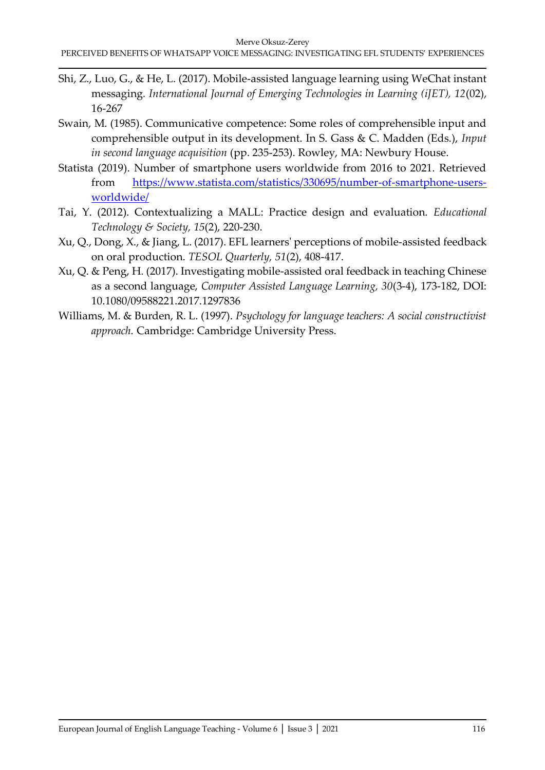- Shi, Z., Luo, G., & He, L. (2017). Mobile-assisted language learning using WeChat instant messaging*. International Journal of Emerging Technologies in Learning (iJET), 12*(02), 16-267
- Swain, M. (1985). Communicative competence: Some roles of comprehensible input and comprehensible output in its development. In S. Gass & C. Madden (Eds.), *Input in second language acquisition* (pp. 235-253). Rowley, MA: Newbury House.
- Statista (2019). Number of smartphone users worldwide from 2016 to 2021. Retrieved from [https://www.statista.com/statistics/330695/number-of-smartphone-users](https://www.statista.com/statistics/330695/number-of-smartphone-users-worldwide/)[worldwide/](https://www.statista.com/statistics/330695/number-of-smartphone-users-worldwide/)
- Tai, Y. (2012). Contextualizing a MALL: Practice design and evaluation. *Educational Technology & Society, 15*(2), 220-230.
- Xu, Q., Dong, X., & Jiang, L. (2017). EFL learners' perceptions of mobile‐assisted feedback on oral production. *TESOL Quarterly, 51*(2), 408-417.
- Xu, Q. & Peng, H. (2017). Investigating mobile-assisted oral feedback in teaching Chinese as a second language, *Computer Assisted Language Learning, 30*(3-4), 173-182, DOI: 10.1080/09588221.2017.1297836
- Williams, M. & Burden, R. L. (1997). *Psychology for language teachers: A social constructivist approach.* Cambridge: Cambridge University Press.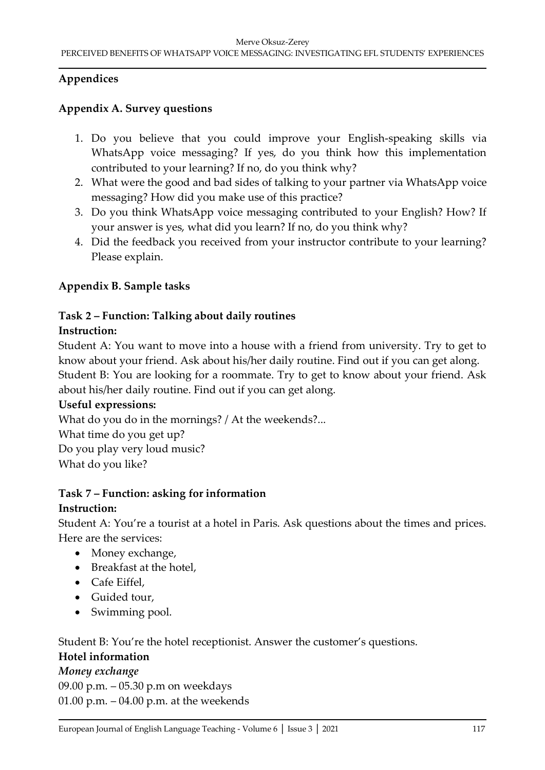# **Appendices**

# **Appendix A. Survey questions**

- 1. Do you believe that you could improve your English-speaking skills via WhatsApp voice messaging? If yes, do you think how this implementation contributed to your learning? If no, do you think why?
- 2. What were the good and bad sides of talking to your partner via WhatsApp voice messaging? How did you make use of this practice?
- 3. Do you think WhatsApp voice messaging contributed to your English? How? If your answer is yes, what did you learn? If no, do you think why?
- 4. Did the feedback you received from your instructor contribute to your learning? Please explain.

# **Appendix B. Sample tasks**

# **Task 2 – Function: Talking about daily routines**

# **Instruction:**

Student A: You want to move into a house with a friend from university. Try to get to know about your friend. Ask about his/her daily routine. Find out if you can get along. Student B: You are looking for a roommate. Try to get to know about your friend. Ask about his/her daily routine. Find out if you can get along.

# **Useful expressions:**

What do you do in the mornings? / At the weekends?...

What time do you get up? Do you play very loud music?

What do you like?

# **Task 7 – Function: asking for information**

# **Instruction:**

Student A: You're a tourist at a hotel in Paris. Ask questions about the times and prices. Here are the services:

- Money exchange,
- Breakfast at the hotel,
- Cafe Eiffel,
- Guided tour,
- Swimming pool.

Student B: You're the hotel receptionist. Answer the customer's questions.

# **Hotel information**

# *Money exchange*

09.00 p.m. – 05.30 p.m on weekdays 01.00 p.m. – 04.00 p.m. at the weekends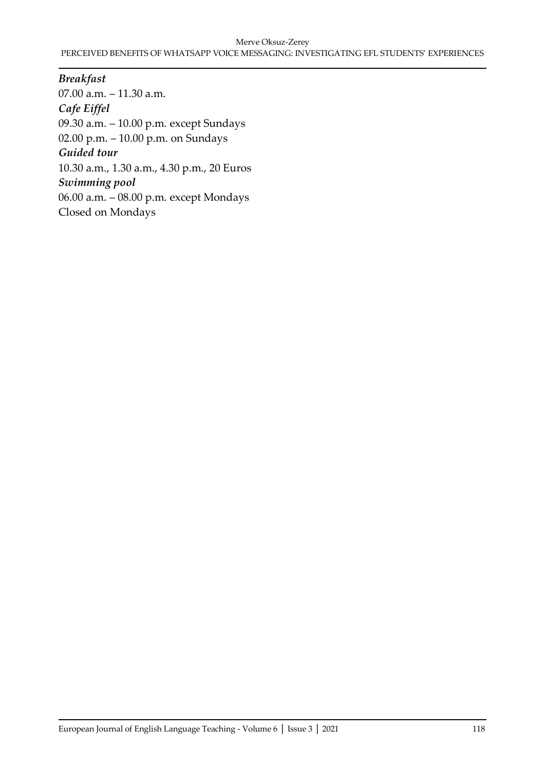#### Merve Oksuz-Zerey PERCEIVED BENEFITS OF WHATSAPP VOICE MESSAGING: INVESTIGATING EFL STUDENTS' EXPERIENCES

*Breakfast* 07.00 a.m. – 11.30 a.m. *Cafe Eiffel* 09.30 a.m. – 10.00 p.m. except Sundays 02.00 p.m. – 10.00 p.m. on Sundays *Guided tour* 10.30 a.m., 1.30 a.m., 4.30 p.m., 20 Euros *Swimming pool* 06.00 a.m. – 08.00 p.m. except Mondays Closed on Mondays